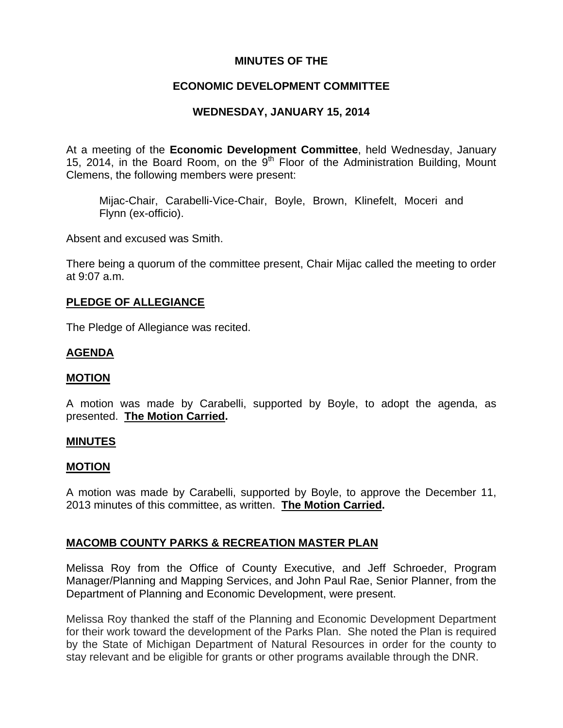# **MINUTES OF THE**

# **ECONOMIC DEVELOPMENT COMMITTEE**

# **WEDNESDAY, JANUARY 15, 2014**

At a meeting of the **Economic Development Committee**, held Wednesday, January 15, 2014, in the Board Room, on the  $9<sup>th</sup>$  Floor of the Administration Building, Mount Clemens, the following members were present:

Mijac-Chair, Carabelli-Vice-Chair, Boyle, Brown, Klinefelt, Moceri and Flynn (ex-officio).

Absent and excused was Smith.

There being a quorum of the committee present, Chair Mijac called the meeting to order at 9:07 a.m.

# **PLEDGE OF ALLEGIANCE**

The Pledge of Allegiance was recited.

# **AGENDA**

#### **MOTION**

A motion was made by Carabelli, supported by Boyle, to adopt the agenda, as presented. **The Motion Carried.** 

#### **MINUTES**

#### **MOTION**

A motion was made by Carabelli, supported by Boyle, to approve the December 11, 2013 minutes of this committee, as written. **The Motion Carried.** 

#### **MACOMB COUNTY PARKS & RECREATION MASTER PLAN**

Melissa Roy from the Office of County Executive, and Jeff Schroeder, Program Manager/Planning and Mapping Services, and John Paul Rae, Senior Planner, from the Department of Planning and Economic Development, were present.

Melissa Roy thanked the staff of the Planning and Economic Development Department for their work toward the development of the Parks Plan. She noted the Plan is required by the State of Michigan Department of Natural Resources in order for the county to stay relevant and be eligible for grants or other programs available through the DNR.